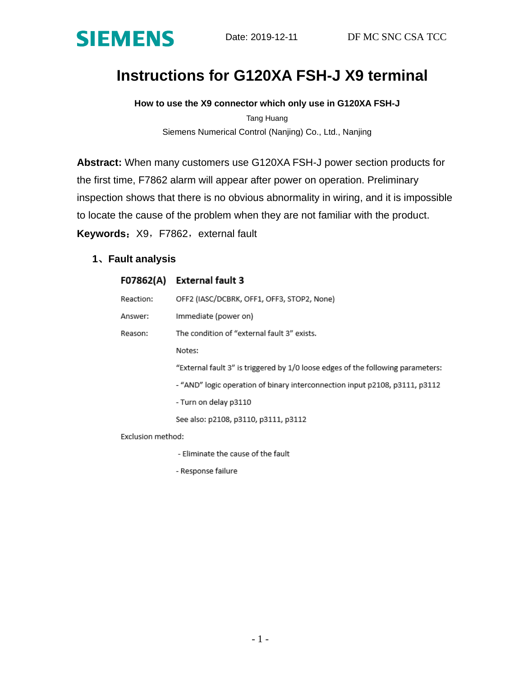

# **Instructions for G120XA FSH-J X9 terminal**

**How to use the X9 connector which only use in G120XA FSH-J**

Tang Huang Siemens Numerical Control (Nanjing) Co., Ltd., Nanjing

**Abstract:** When many customers use G120XA FSH-J power section products for the first time, F7862 alarm will appear after power on operation. Preliminary inspection shows that there is no obvious abnormality in wiring, and it is impossible to locate the cause of the problem when they are not familiar with the product.

**Keywords: X9, F7862, external fault** 

## **1**、**Fault analysis**

| F07862(A)         | External fault 3                                                                |
|-------------------|---------------------------------------------------------------------------------|
| Reaction:         | OFF2 (IASC/DCBRK, OFF1, OFF3, STOP2, None)                                      |
| Answer:           | Immediate (power on)                                                            |
| Reason:           | The condition of "external fault 3" exists.                                     |
|                   | Notes:                                                                          |
|                   | "External fault 3" is triggered by 1/0 loose edges of the following parameters: |
|                   | - "AND" logic operation of binary interconnection input p2108, p3111, p3112     |
|                   | - Turn on delay p3110                                                           |
|                   | See also: p2108, p3110, p3111, p3112                                            |
| Exclusion method: |                                                                                 |

- Eliminate the cause of the fault

- Response failure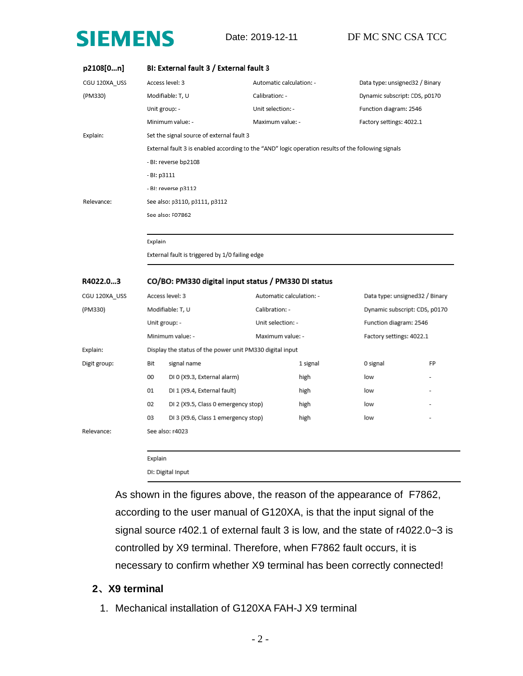

| p2108[0n]     | BI: External fault 3 / External fault 3 |                                                          |                                                                                                     |                                |    |
|---------------|-----------------------------------------|----------------------------------------------------------|-----------------------------------------------------------------------------------------------------|--------------------------------|----|
| CGU 120XA USS |                                         | Access level: 3                                          | Automatic calculation: -                                                                            | Data type: unsigned32 / Binary |    |
| (PM330)       |                                         | Modifiable: T, U                                         | Calibration: -                                                                                      | Dynamic subscript: CDS, p0170  |    |
|               | Unit group: -                           |                                                          | Unit selection: -                                                                                   | Function diagram: 2546         |    |
|               |                                         | Minimum value: -                                         | Maximum value: -                                                                                    | Factory settings: 4022.1       |    |
| Explain:      |                                         | Set the signal source of external fault 3                |                                                                                                     |                                |    |
|               |                                         |                                                          | External fault 3 is enabled according to the "AND" logic operation results of the following signals |                                |    |
|               |                                         | - BI: reverse bp2108                                     |                                                                                                     |                                |    |
|               | - BI: p3111                             |                                                          |                                                                                                     |                                |    |
|               |                                         | - BI: reverse p3112                                      |                                                                                                     |                                |    |
| Relevance:    |                                         | See also: p3110, p3111, p3112                            |                                                                                                     |                                |    |
|               |                                         | See also: F07862                                         |                                                                                                     |                                |    |
|               |                                         |                                                          |                                                                                                     |                                |    |
|               | Explain                                 |                                                          |                                                                                                     |                                |    |
|               |                                         | External fault is triggered by 1/0 failing edge          |                                                                                                     |                                |    |
|               |                                         |                                                          |                                                                                                     |                                |    |
|               |                                         |                                                          |                                                                                                     |                                |    |
| R4022.03      |                                         | CO/BO: PM330 digital input status / PM330 DI status      |                                                                                                     |                                |    |
| CGU 120XA_USS |                                         | Access level: 3                                          | Automatic calculation: -                                                                            | Data type: unsigned32 / Binary |    |
| (PM330)       |                                         | Modifiable: T, U                                         | Calibration: -                                                                                      | Dynamic subscript: CDS, p0170  |    |
|               |                                         | Unit group: -                                            | Unit selection: -                                                                                   | Function diagram: 2546         |    |
|               |                                         | Minimum value: -                                         | Maximum value: -                                                                                    | Factory settings: 4022.1       |    |
| Explain:      |                                         | Display the status of the power unit PM330 digital input |                                                                                                     |                                |    |
| Digit group:  | Bit                                     | signal name                                              | 1 signal                                                                                            | 0 signal                       | FP |
|               | 00                                      | DI 0 (X9.3, External alarm)                              | high                                                                                                | low                            |    |
|               | 01                                      | DI 1 (X9.4, External fault)                              | high                                                                                                | low                            |    |
|               | 02                                      | DI 2 (X9.5, Class 0 emergency stop)                      | high                                                                                                | low                            |    |
|               | 03                                      | DI 3 (X9.6, Class 1 emergency stop)                      | high                                                                                                | low                            |    |
| Relevance:    |                                         | See also: r4023                                          |                                                                                                     |                                |    |
|               |                                         |                                                          |                                                                                                     |                                |    |

DI: Digital Input

As shown in the figures above, the reason of the appearance of F7862, according to the user manual of G120XA, is that the input signal of the signal source r402.1 of external fault 3 is low, and the state of r4022.0~3 is controlled by X9 terminal. Therefore, when F7862 fault occurs, it is necessary to confirm whether X9 terminal has been correctly connected!

### **2**、**X9 terminal**

1. Mechanical installation of G120XA FAH-J X9 terminal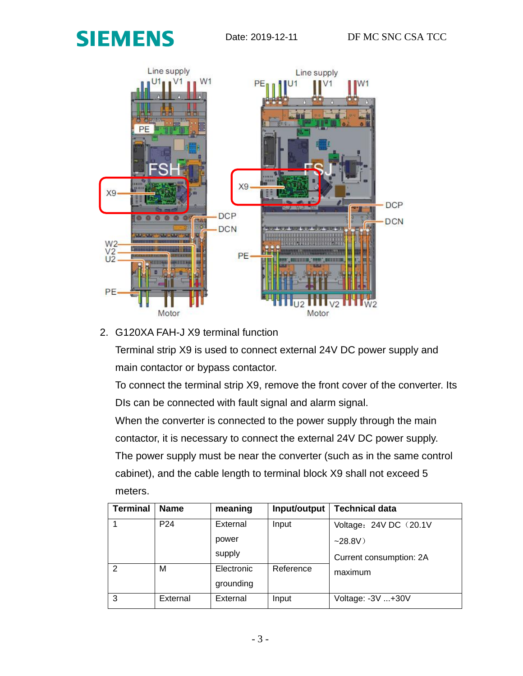



## 2. G120XA FAH-J X9 terminal function

Terminal strip X9 is used to connect external 24V DC power supply and main contactor or bypass contactor.

To connect the terminal strip X9, remove the front cover of the converter. Its DIs can be connected with fault signal and alarm signal.

When the converter is connected to the power supply through the main contactor, it is necessary to connect the external 24V DC power supply. The power supply must be near the converter (such as in the same control cabinet), and the cable length to terminal block X9 shall not exceed 5 meters.

| <b>Terminal</b> | <b>Name</b>     | meaning    | Input/output | <b>Technical data</b>   |
|-----------------|-----------------|------------|--------------|-------------------------|
|                 | P <sub>24</sub> | External   | Input        | Voltage: 24V DC (20.1V) |
|                 |                 | power      |              | $-28.8V$                |
|                 |                 | supply     |              | Current consumption: 2A |
| $\mathcal{P}$   | М               | Electronic | Reference    | maximum                 |
|                 |                 | grounding  |              |                         |
| 3               | External        | External   | Input        | Voltage: -3V +30V       |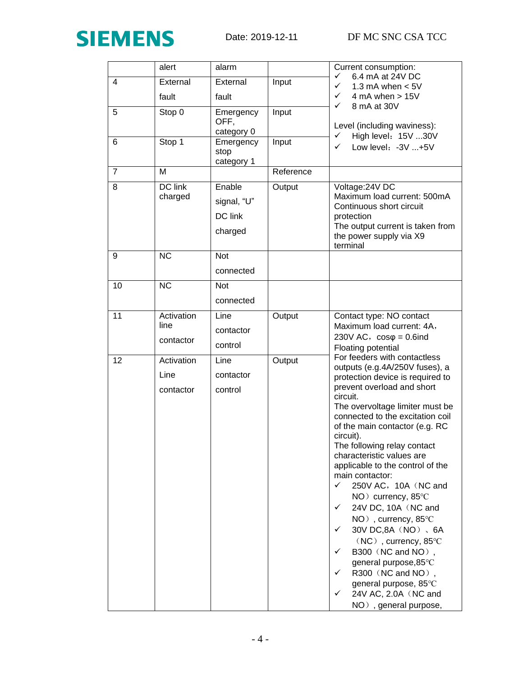

|                | alert                           | alarm                                       |           | Current consumption:                                                                                                                                                                                                                                                                                                                                                                                                                                                                                                                                                                                                                                                                                                                    |
|----------------|---------------------------------|---------------------------------------------|-----------|-----------------------------------------------------------------------------------------------------------------------------------------------------------------------------------------------------------------------------------------------------------------------------------------------------------------------------------------------------------------------------------------------------------------------------------------------------------------------------------------------------------------------------------------------------------------------------------------------------------------------------------------------------------------------------------------------------------------------------------------|
| 4              | External                        | External                                    | Input     | 6.4 mA at 24V DC<br>✓<br>✓<br>1.3 mA when $< 5V$                                                                                                                                                                                                                                                                                                                                                                                                                                                                                                                                                                                                                                                                                        |
|                | fault                           | fault                                       |           | 4 mA when $> 15V$<br>✓                                                                                                                                                                                                                                                                                                                                                                                                                                                                                                                                                                                                                                                                                                                  |
| 5              | Stop 0                          | Emergency<br>OFF,<br>category 0             | Input     | ✓<br>8 mA at 30V<br>Level (including waviness):<br>High level: 15V 30V<br>✓                                                                                                                                                                                                                                                                                                                                                                                                                                                                                                                                                                                                                                                             |
| 6              | Stop 1                          | Emergency<br>stop<br>category 1             | Input     | Low level: -3V +5V<br>✓                                                                                                                                                                                                                                                                                                                                                                                                                                                                                                                                                                                                                                                                                                                 |
| $\overline{7}$ | M                               |                                             | Reference |                                                                                                                                                                                                                                                                                                                                                                                                                                                                                                                                                                                                                                                                                                                                         |
| 8              | DC link<br>charged              | Enable<br>signal, "U"<br>DC link<br>charged | Output    | Voltage: 24V DC<br>Maximum load current: 500mA<br>Continuous short circuit<br>protection<br>The output current is taken from<br>the power supply via X9<br>terminal                                                                                                                                                                                                                                                                                                                                                                                                                                                                                                                                                                     |
| 9              | <b>NC</b>                       | <b>Not</b><br>connected                     |           |                                                                                                                                                                                                                                                                                                                                                                                                                                                                                                                                                                                                                                                                                                                                         |
| 10             | $\overline{\text{NC}}$          | <b>Not</b><br>connected                     |           |                                                                                                                                                                                                                                                                                                                                                                                                                                                                                                                                                                                                                                                                                                                                         |
| 11             | Activation<br>line<br>contactor | Line<br>contactor<br>control                | Output    | Contact type: NO contact<br>Maximum load current: 4A,<br>230V AC, $cos\varphi = 0.6$ ind<br>Floating potential                                                                                                                                                                                                                                                                                                                                                                                                                                                                                                                                                                                                                          |
| 12             | Activation<br>Line<br>contactor | Line<br>contactor<br>control                | Output    | For feeders with contactless<br>outputs (e.g.4A/250V fuses), a<br>protection device is required to<br>prevent overload and short<br>circuit.<br>The overvoltage limiter must be<br>connected to the excitation coil<br>of the main contactor (e.g. RC<br>circuit).<br>The following relay contact<br>characteristic values are<br>applicable to the control of the<br>main contactor:<br>250V AC, 10A (NC and<br>✓<br>NO ) currency, 85°C<br>24V DC, 10A (NC and<br>$\checkmark$<br>NO), currency, 85°C<br>30V DC,8A (NO), 6A<br>✓<br>$(NC)$ , currency, 85 $°C$<br>B300 (NC and NO),<br>✓<br>general purpose, 85°C<br>✓<br>R300 (NC and NO),<br>general purpose, 85°C<br>24V AC, 2.0A (NC and<br>$\checkmark$<br>NO), general purpose, |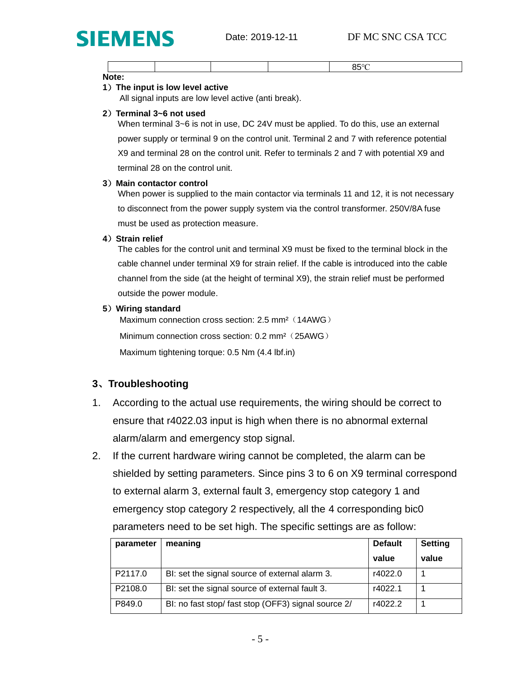

|  |  | 5.00 |  |
|--|--|------|--|
|  |  |      |  |
|  |  |      |  |

**Note:**

#### **1**)**The input is low level active**

All signal inputs are low level active (anti break).

#### **2**)**Terminal 3~6 not used**

When terminal 3~6 is not in use, DC 24V must be applied. To do this, use an external power supply or terminal 9 on the control unit. Terminal 2 and 7 with reference potential X9 and terminal 28 on the control unit. Refer to terminals 2 and 7 with potential X9 and terminal 28 on the control unit.

#### **3**)**Main contactor control**

When power is supplied to the main contactor via terminals 11 and 12, it is not necessary to disconnect from the power supply system via the control transformer. 250V/8A fuse must be used as protection measure.

#### **4**)**Strain relief**

The cables for the control unit and terminal X9 must be fixed to the terminal block in the cable channel under terminal X9 for strain relief. If the cable is introduced into the cable channel from the side (at the height of terminal X9), the strain relief must be performed outside the power module.

#### **5**)**Wiring standard**

Maximum connection cross section: 2.5 mm<sup>2</sup> (14AWG) Minimum connection cross section: 0.2 mm<sup>2</sup> (25AWG) Maximum tightening torque: 0.5 Nm (4.4 lbf.in)

## **3**、**Troubleshooting**

- 1. According to the actual use requirements, the wiring should be correct to ensure that r4022.03 input is high when there is no abnormal external alarm/alarm and emergency stop signal.
- 2. If the current hardware wiring cannot be completed, the alarm can be shielded by setting parameters. Since pins 3 to 6 on X9 terminal correspond to external alarm 3, external fault 3, emergency stop category 1 and emergency stop category 2 respectively, all the 4 corresponding bic0 parameters need to be set high. The specific settings are as follow:

| parameter | meaning                                            | <b>Default</b> | <b>Setting</b> |
|-----------|----------------------------------------------------|----------------|----------------|
|           |                                                    | value          | value          |
| P2117.0   | BI: set the signal source of external alarm 3.     | r4022.0        |                |
| P2108.0   | BI: set the signal source of external fault 3.     | r4022.1        |                |
| P849.0    | BI: no fast stop/fast stop (OFF3) signal source 2/ | r4022.2        |                |